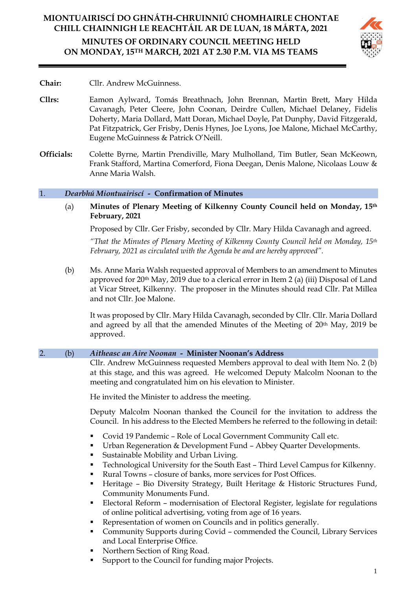# **MIONTUAIRISCÍ DO GHNÁTH-CHRUINNIÚ CHOMHAIRLE CHONTAE CHILL CHAINNIGH LE REACHTÁIL AR DE LUAN, 18 MÁRTA, 2021 MINUTES OF ORDINARY COUNCIL MEETING HELD ON MONDAY, 15TH MARCH, 2021 AT 2.30 P.M. VIA MS TEAMS**



# **Chair:** Cllr. Andrew McGuinness.

- **Cllrs:** Eamon Aylward, Tomás Breathnach, John Brennan, Martin Brett, Mary Hilda Cavanagh, Peter Cleere, John Coonan, Deirdre Cullen, Michael Delaney, Fidelis Doherty, Maria Dollard, Matt Doran, Michael Doyle, Pat Dunphy, David Fitzgerald, Pat Fitzpatrick, Ger Frisby, Denis Hynes, Joe Lyons, Joe Malone, Michael McCarthy, Eugene McGuinness & Patrick O'Neill.
- **Officials:** Colette Byrne, Martin Prendiville, Mary Mulholland, Tim Butler, Sean McKeown, Frank Stafford, Martina Comerford, Fiona Deegan, Denis Malone, Nicolaas Louw & Anne Maria Walsh.

# 1. *Dearbhú Miontuairiscí -* **Confirmation of Minutes**

(a) **Minutes of Plenary Meeting of Kilkenny County Council held on Monday, 15th February, 2021**

Proposed by Cllr. Ger Frisby, seconded by Cllr. Mary Hilda Cavanagh and agreed.

*"That the Minutes of Plenary Meeting of Kilkenny County Council held on Monday, 15th February, 2021 as circulated with the Agenda be and are hereby approved".*

(b) Ms. Anne Maria Walsh requested approval of Members to an amendment to Minutes approved for 20<sup>th</sup> May, 2019 due to a clerical error in Item 2 (a) (iii) Disposal of Land at Vicar Street, Kilkenny. The proposer in the Minutes should read Cllr. Pat Millea and not Cllr. Joe Malone.

It was proposed by Cllr. Mary Hilda Cavanagh, seconded by Cllr. Cllr. Maria Dollard and agreed by all that the amended Minutes of the Meeting of 20<sup>th</sup> May, 2019 be approved.

# 2. (b) *Aitheasc an Aire Noonan* **- Minister Noonan's Address**

Cllr. Andrew McGuinness requested Members approval to deal with Item No. 2 (b) at this stage, and this was agreed. He welcomed Deputy Malcolm Noonan to the meeting and congratulated him on his elevation to Minister.

He invited the Minister to address the meeting.

Deputy Malcolm Noonan thanked the Council for the invitation to address the Council. In his address to the Elected Members he referred to the following in detail:

- Covid 19 Pandemic Role of Local Government Community Call etc.
- Urban Regeneration & Development Fund Abbey Quarter Developments.
- Sustainable Mobility and Urban Living.
- Technological University for the South East Third Level Campus for Kilkenny.
- Rural Towns closure of banks, more services for Post Offices.
- Heritage Bio Diversity Strategy, Built Heritage & Historic Structures Fund, Community Monuments Fund.
- Electoral Reform modernisation of Electoral Register, legislate for regulations of online political advertising, voting from age of 16 years.
- Representation of women on Councils and in politics generally.
- Community Supports during Covid commended the Council, Library Services and Local Enterprise Office.
- Northern Section of Ring Road.
- Support to the Council for funding major Projects.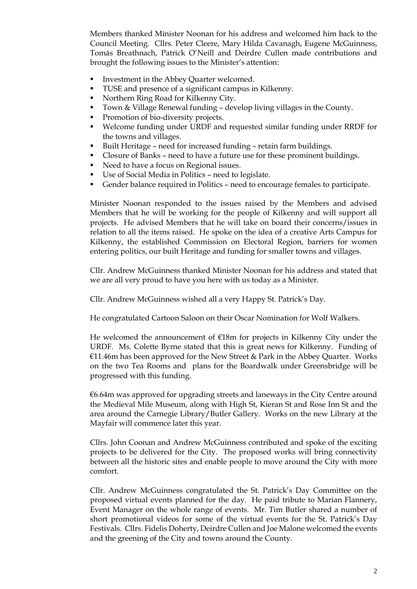Members thanked Minister Noonan for his address and welcomed him back to the Council Meeting. Cllrs. Peter Cleere, Mary Hilda Cavanagh, Eugene McGuinness, Tomás Breathnach, Patrick O'Neill and Deirdre Cullen made contributions and brought the following issues to the Minister's attention:

- **■** Investment in the Abbey Quarter welcomed.
- TUSE and presence of a significant campus in Kilkenny.
- Northern Ring Road for Kilkenny City.
- Town & Village Renewal funding develop living villages in the County.
- Promotion of bio-diversity projects.
- Welcome funding under URDF and requested similar funding under RRDF for the towns and villages.
- Built Heritage need for increased funding retain farm buildings.
- Closure of Banks need to have a future use for these prominent buildings.
- Need to have a focus on Regional issues.
- Use of Social Media in Politics need to legislate.
- Gender balance required in Politics need to encourage females to participate.

Minister Noonan responded to the issues raised by the Members and advised Members that he will be working for the people of Kilkenny and will support all projects. He advised Members that he will take on board their concerns/issues in relation to all the items raised. He spoke on the idea of a creative Arts Campus for Kilkenny, the established Commission on Electoral Region, barriers for women entering politics, our built Heritage and funding for smaller towns and villages.

Cllr. Andrew McGuinness thanked Minister Noonan for his address and stated that we are all very proud to have you here with us today as a Minister.

Cllr. Andrew McGuinness wished all a very Happy St. Patrick's Day.

He congratulated Cartoon Saloon on their Oscar Nomination for Wolf Walkers.

He welcomed the announcement of €18m for projects in Kilkenny City under the URDF. Ms. Colette Byrne stated that this is great news for Kilkenny. Funding of  $€11.46m$  has been approved for the New Street & Park in the Abbey Quarter. Works on the two Tea Rooms and plans for the Boardwalk under Greensbridge will be progressed with this funding.

€6.64m was approved for upgrading streets and laneways in the City Centre around the Medieval Mile Museum, along with High St, Kieran St and Rose Inn St and the area around the Carnegie Library/Butler Gallery. Works on the new Library at the Mayfair will commence later this year.

Cllrs. John Coonan and Andrew McGuinness contributed and spoke of the exciting projects to be delivered for the City. The proposed works will bring connectivity between all the historic sites and enable people to move around the City with more comfort.

Cllr. Andrew McGuinness congratulated the St. Patrick's Day Committee on the proposed virtual events planned for the day. He paid tribute to Marian Flannery, Event Manager on the whole range of events. Mr. Tim Butler shared a number of short promotional videos for some of the virtual events for the St. Patrick's Day Festivals. Cllrs. Fidelis Doherty, Deirdre Cullen and Joe Malone welcomed the events and the greening of the City and towns around the County.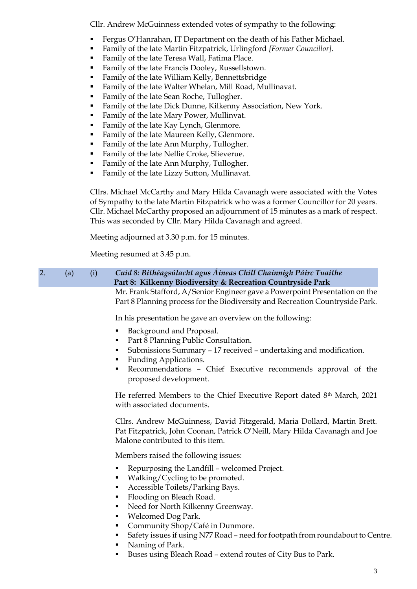Cllr. Andrew McGuinness extended votes of sympathy to the following:

- Fergus O'Hanrahan, IT Department on the death of his Father Michael.
- Family of the late Martin Fitzpatrick, Urlingford *[Former Councillor]*.
- Family of the late Teresa Wall, Fatima Place.
- Family of the late Francis Dooley, Russellstown.
- Family of the late William Kelly, Bennettsbridge
- Family of the late Walter Whelan, Mill Road, Mullinavat.
- Family of the late Sean Roche, Tullogher.
- Family of the late Dick Dunne, Kilkenny Association, New York.
- Family of the late Mary Power, Mullinvat.
- Family of the late Kay Lynch, Glenmore.
- Family of the late Maureen Kelly, Glenmore.
- Family of the late Ann Murphy, Tullogher.
- Family of the late Nellie Croke, Slieverue.
- Family of the late Ann Murphy, Tullogher.
- Family of the late Lizzy Sutton, Mullinavat.

Cllrs. Michael McCarthy and Mary Hilda Cavanagh were associated with the Votes of Sympathy to the late Martin Fitzpatrick who was a former Councillor for 20 years. Cllr. Michael McCarthy proposed an adjournment of 15 minutes as a mark of respect. This was seconded by Cllr. Mary Hilda Cavanagh and agreed.

Meeting adjourned at 3.30 p.m. for 15 minutes.

Meeting resumed at 3.45 p.m.

## 2. (a) (i) *Cuid 8: Bithéagsúlacht agus Áineas Chill Chainnigh Páirc Tuaithe* **Part 8: Kilkenny Biodiversity & Recreation Countryside Park** Mr. Frank Stafford, A/Senior Engineer gave a Powerpoint Presentation on the

Part 8 Planning process for the Biodiversity and Recreation Countryside Park.

In his presentation he gave an overview on the following:

- Background and Proposal.
- Part 8 Planning Public Consultation.
- Submissions Summary 17 received undertaking and modification.
- **Funding Applications.**
- Recommendations Chief Executive recommends approval of the proposed development.

He referred Members to the Chief Executive Report dated 8th March, 2021 with associated documents.

Cllrs. Andrew McGuinness, David Fitzgerald, Maria Dollard, Martin Brett. Pat Fitzpatrick, John Coonan, Patrick O'Neill, Mary Hilda Cavanagh and Joe Malone contributed to this item.

Members raised the following issues:

- Repurposing the Landfill welcomed Project.
- Walking/Cycling to be promoted.
- Accessible Toilets/Parking Bays.
- Flooding on Bleach Road.
- Need for North Kilkenny Greenway.
- Welcomed Dog Park.
- Community Shop/Café in Dunmore.
- Safety issues if using N77 Road need for footpath from roundabout to Centre.
- Naming of Park.
- Buses using Bleach Road extend routes of City Bus to Park.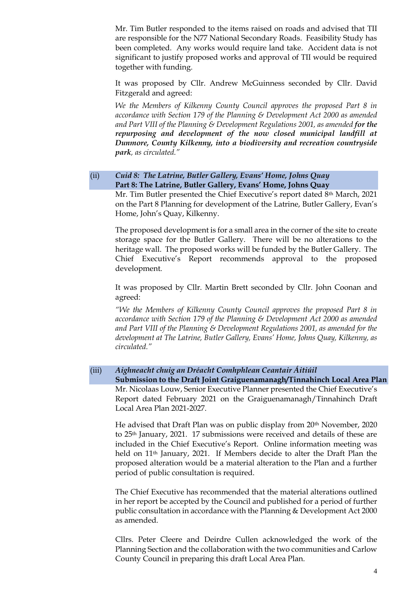Mr. Tim Butler responded to the items raised on roads and advised that TII are responsible for the N77 National Secondary Roads. Feasibility Study has been completed. Any works would require land take. Accident data is not significant to justify proposed works and approval of TII would be required together with funding.

It was proposed by Cllr. Andrew McGuinness seconded by Cllr. David Fitzgerald and agreed:

*We the Members of Kilkenny County Council approves the proposed Part 8 in accordance with Section 179 of the Planning & Development Act 2000 as amended*  and Part VIII of the Planning & Development Regulations 2001, as amended for the *repurposing and development of the now closed municipal landfill at Dunmore, County Kilkenny, into a biodiversity and recreation countryside park, as circulated."*

# (ii) *Cuid 8: The Latrine, Butler Gallery, Evans' Home, Johns Quay* **Part 8: The Latrine, Butler Gallery, Evans' Home, Johns Quay**

Mr. Tim Butler presented the Chief Executive's report dated 8<sup>th</sup> March, 2021 on the Part 8 Planning for development of the Latrine, Butler Gallery, Evan's Home, John's Quay, Kilkenny.

The proposed development is for a small area in the corner of the site to create storage space for the Butler Gallery. There will be no alterations to the heritage wall. The proposed works will be funded by the Butler Gallery. The Chief Executive's Report recommends approval to the proposed development.

It was proposed by Cllr. Martin Brett seconded by Cllr. John Coonan and agreed:

*"We the Members of Kilkenny County Council approves the proposed Part 8 in accordance with Section 179 of the Planning & Development Act 2000 as amended and Part VIII of the Planning & Development Regulations 2001, as amended for the development at The Latrine, Butler Gallery, Evans' Home, Johns Quay, Kilkenny, as circulated."*

### (iii) *Aighneacht chuig an Dréacht Comhphlean Ceantair Áitiúil*

**Submission to the Draft Joint Graiguenamanagh/Tinnahinch Local Area Plan** Mr. Nicolaas Louw, Senior Executive Planner presented the Chief Executive's Report dated February 2021 on the Graiguenamanagh/Tinnahinch Draft Local Area Plan 2021-2027.

He advised that Draft Plan was on public display from 20th November, 2020 to 25th January, 2021. 17 submissions were received and details of these are included in the Chief Executive's Report. Online information meeting was held on 11<sup>th</sup> January, 2021. If Members decide to alter the Draft Plan the proposed alteration would be a material alteration to the Plan and a further period of public consultation is required.

The Chief Executive has recommended that the material alterations outlined in her report be accepted by the Council and published for a period of further public consultation in accordance with the Planning & Development Act 2000 as amended.

Cllrs. Peter Cleere and Deirdre Cullen acknowledged the work of the Planning Section and the collaboration with the two communities and Carlow County Council in preparing this draft Local Area Plan.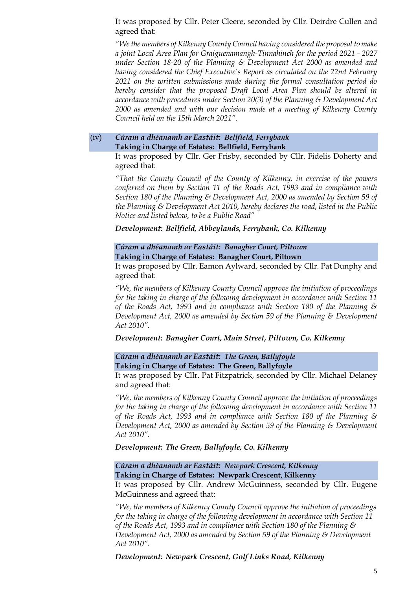It was proposed by Cllr. Peter Cleere, seconded by Cllr. Deirdre Cullen and agreed that:

*"We the members of Kilkenny County Council having considered the proposal to make a joint Local Area Plan for Graiguenamangh-Tinnahinch for the period 2021 - 2027 under Section 18-20 of the Planning & Development Act 2000 as amended and having considered the Chief Executive's Report as circulated on the 22nd February 2021 on the written submissions made during the formal consultation period do hereby consider that the proposed Draft Local Area Plan should be altered in accordance with procedures under Section 20(3) of the Planning & Development Act 2000 as amended and with our decision made at a meeting of Kilkenny County Council held on the 15th March 2021".*

### (iv) *Cúram a dhéanamh ar Eastáit: Bellfield, Ferrybank* **Taking in Charge of Estates: Bellfield, Ferrybank**

It was proposed by Cllr. Ger Frisby, seconded by Cllr. Fidelis Doherty and agreed that:

*"That the County Council of the County of Kilkenny, in exercise of the powers conferred on them by Section 11 of the Roads Act, 1993 and in compliance with Section 180 of the Planning & Development Act, 2000 as amended by Section 59 of the Planning & Development Act 2010, hereby declares the road, listed in the Public Notice and listed below, to be a Public Road"*

*Development: Bellfield, Abbeylands, Ferrybank, Co. Kilkenny*

# *Cúram a dhéanamh ar Eastáit: Banagher Court, Piltown* **Taking in Charge of Estates: Banagher Court, Piltown**

It was proposed by Cllr. Eamon Aylward, seconded by Cllr. Pat Dunphy and agreed that:

*"We, the members of Kilkenny County Council approve the initiation of proceedings for the taking in charge of the following development in accordance with Section 11 of the Roads Act, 1993 and in compliance with Section 180 of the Planning & Development Act, 2000 as amended by Section 59 of the Planning & Development Act 2010".*

### *Development: Banagher Court, Main Street, Piltown, Co. Kilkenny*

*Cúram a dhéanamh ar Eastáit: The Green, Ballyfoyle* **Taking in Charge of Estates: The Green, Ballyfoyle**

It was proposed by Cllr. Pat Fitzpatrick, seconded by Cllr. Michael Delaney and agreed that:

*"We, the members of Kilkenny County Council approve the initiation of proceedings for the taking in charge of the following development in accordance with Section 11 of the Roads Act, 1993 and in compliance with Section 180 of the Planning & Development Act, 2000 as amended by Section 59 of the Planning & Development Act 2010".*

*Development: The Green, Ballyfoyle, Co. Kilkenny*

*Cúram a dhéanamh ar Eastáit: Newpark Crescent, Kilkenny* **Taking in Charge of Estates: Newpark Crescent, Kilkenny**

It was proposed by Cllr. Andrew McGuinness, seconded by Cllr. Eugene McGuinness and agreed that:

*"We, the members of Kilkenny County Council approve the initiation of proceedings for the taking in charge of the following development in accordance with Section 11 of the Roads Act, 1993 and in compliance with Section 180 of the Planning & Development Act, 2000 as amended by Section 59 of the Planning & Development Act 2010".*

*Development: Newpark Crescent, Golf Links Road, Kilkenny*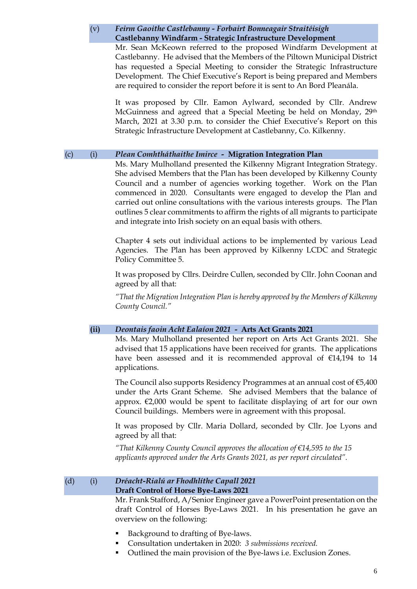# (v) *Feirm Gaoithe Castlebanny - Forbairt Bonneagair Straitéisigh* **Castlebanny Windfarm - Strategic Infrastructure Development**

Mr. Sean McKeown referred to the proposed Windfarm Development at Castlebanny. He advised that the Members of the Piltown Municipal District has requested a Special Meeting to consider the Strategic Infrastructure Development. The Chief Executive's Report is being prepared and Members are required to consider the report before it is sent to An Bord Pleanála.

It was proposed by Cllr. Eamon Aylward, seconded by Cllr. Andrew McGuinness and agreed that a Special Meeting be held on Monday, 29th March, 2021 at 3.30 p.m. to consider the Chief Executive's Report on this Strategic Infrastructure Development at Castlebanny, Co. Kilkenny.

### (c) (i) *Plean Comhtháthaithe Imirce -* **Migration Integration Plan**

Ms. Mary Mulholland presented the Kilkenny Migrant Integration Strategy. She advised Members that the Plan has been developed by Kilkenny County Council and a number of agencies working together. Work on the Plan commenced in 2020. Consultants were engaged to develop the Plan and carried out online consultations with the various interests groups. The Plan outlines 5 clear commitments to affirm the rights of all migrants to participate and integrate into Irish society on an equal basis with others.

Chapter 4 sets out individual actions to be implemented by various Lead Agencies. The Plan has been approved by Kilkenny LCDC and Strategic Policy Committee 5.

It was proposed by Cllrs. Deirdre Cullen, seconded by Cllr. John Coonan and agreed by all that:

*"That the Migration Integration Plan is hereby approved by the Members of Kilkenny County Council."*

### **(ii)** *Deontais faoin Acht Ealaíon 2021* **- Arts Act Grants 2021**

Ms. Mary Mulholland presented her report on Arts Act Grants 2021. She advised that 15 applications have been received for grants. The applications have been assessed and it is recommended approval of €14,194 to 14 applications.

The Council also supports Residency Programmes at an annual cost of €5,400 under the Arts Grant Scheme. She advised Members that the balance of approx.  $\epsilon$ 2,000 would be spent to facilitate displaying of art for our own Council buildings. Members were in agreement with this proposal.

It was proposed by Cllr. Maria Dollard, seconded by Cllr. Joe Lyons and agreed by all that:

*"That Kilkenny County Council approves the allocation of €14,595 to the 15 applicants approved under the Arts Grants 2021, as per report circulated".* 

#### (d) (i) *Dréacht-Rialú ar Fhodhlíthe Capall 2021* **Draft Control of Horse Bye-Laws 2021**

Mr. Frank Stafford, A/Senior Engineer gave a PowerPoint presentation on the draft Control of Horses Bye-Laws 2021. In his presentation he gave an overview on the following:

- Background to drafting of Bye-laws.
- Consultation undertaken in 2020: *3 submissions received.*
- Outlined the main provision of the Bye-laws *i.e.* Exclusion Zones.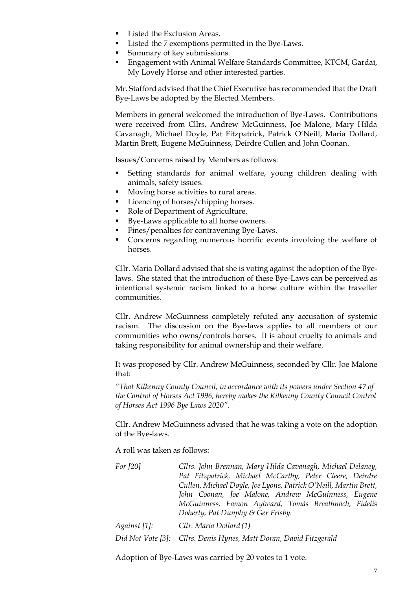- Listed the Exclusion Areas.
- Listed the 7 exemptions permitted in the Bye-Laws.
- Summary of key submissions.
- **Engagement with Animal Welfare Standards Committee, KTCM, Gardaí,** My Lovely Horse and other interested parties.

Mr. Stafford advised that the Chief Executive has recommended that the Draft Bye-Laws be adopted by the Elected Members.

Members in general welcomed the introduction of Bye-Laws. Contributions were received from Cllrs. Andrew McGuinness, Joe Malone, Mary Hilda Cavanagh, Michael Doyle, Pat Fitzpatrick, Patrick O'Neill, Maria Dollard, Martin Brett, Eugene McGuinness, Deirdre Cullen and John Coonan.

Issues/Concerns raised by Members as follows:

- Setting standards for animal welfare, young children dealing with animals, safety issues.
- Moving horse activities to rural areas.
- Licencing of horses/chipping horses.
- Role of Department of Agriculture.
- Bye-Laws applicable to all horse owners.
- Fines/penalties for contravening Bye-Laws.
- Concerns regarding numerous horrific events involving the welfare of horses.

Cllr. Maria Dollard advised that she is voting against the adoption of the Byelaws. She stated that the introduction of these Bye-Laws can be perceived as intentional systemic racism linked to a horse culture within the traveller communities.

Cllr. Andrew McGuinness completely refuted any accusation of systemic racism. The discussion on the Bye-laws applies to all members of our communities who owns/controls horses. It is about cruelty to animals and taking responsibility for animal ownership and their welfare.

It was proposed by Cllr. Andrew McGuinness, seconded by Cllr. Joe Malone that:

*"That Kilkenny County Council, in accordance with its powers under Section 47 of the Control of Horses Act 1996, hereby makes the Kilkenny County Council Control of Horses Act 1996 Bye Laws 2020".*

Cllr. Andrew McGuinness advised that he was taking a vote on the adoption of the Bye-laws.

A roll was taken as follows:

| For $[20]$   | Cllrs. John Brennan, Mary Hilda Cavanagh, Michael Delaney,         |
|--------------|--------------------------------------------------------------------|
|              | Pat Fitzpatrick, Michael McCarthy, Peter Cleere, Deirdre           |
|              | Cullen, Michael Doyle, Joe Lyons, Patrick O'Neill, Martin Brett,   |
|              | John Coonan, Joe Malone, Andrew McGuinness, Eugene                 |
|              | McGuinness, Eamon Aylward, Tomás Breathnach, Fidelis               |
|              | Doherty, Pat Dunphy & Ger Frisby.                                  |
| Against [1]: | Cllr. Maria Dollard (1)                                            |
|              | Did Not Vote [3]: Cllrs. Denis Hynes, Matt Doran, David Fitzgerald |

Adoption of Bye-Laws was carried by 20 votes to 1 vote.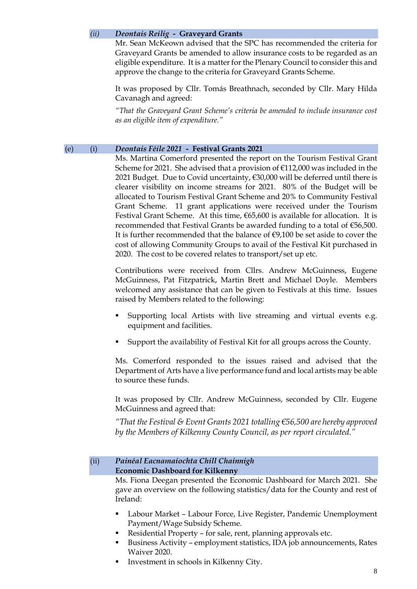### *(ii) Deontais Reilig* **- Graveyard Grants**

Mr. Sean McKeown advised that the SPC has recommended the criteria for Graveyard Grants be amended to allow insurance costs to be regarded as an eligible expenditure. It is a matter for the Plenary Council to consider this and approve the change to the criteria for Graveyard Grants Scheme.

It was proposed by Cllr. Tomás Breathnach, seconded by Cllr. Mary Hilda Cavanagh and agreed:

*"That the Graveyard Grant Scheme's criteria be amended to include insurance cost as an eligible item of expenditure."*

### (e) (i) *Deontais Féile 2021* **- Festival Grants 2021**

Ms. Martina Comerford presented the report on the Tourism Festival Grant Scheme for 2021. She advised that a provision of  $\epsilon$ 112,000 was included in the 2021 Budget. Due to Covid uncertainty, €30,000 will be deferred until there is clearer visibility on income streams for 2021. 80% of the Budget will be allocated to Tourism Festival Grant Scheme and 20% to Community Festival Grant Scheme. 11 grant applications were received under the Tourism Festival Grant Scheme. At this time,  $665,600$  is available for allocation. It is recommended that Festival Grants be awarded funding to a total of €56,500. It is further recommended that the balance of  $\epsilon$ 9,100 be set aside to cover the cost of allowing Community Groups to avail of the Festival Kit purchased in 2020. The cost to be covered relates to transport/set up etc.

Contributions were received from Cllrs. Andrew McGuinness, Eugene McGuinness, Pat Fitzpatrick, Martin Brett and Michael Doyle. Members welcomed any assistance that can be given to Festivals at this time. Issues raised by Members related to the following:

- Supporting local Artists with live streaming and virtual events e.g. equipment and facilities.
- Support the availability of Festival Kit for all groups across the County.

Ms. Comerford responded to the issues raised and advised that the Department of Arts have a live performance fund and local artists may be able to source these funds.

It was proposed by Cllr. Andrew McGuinness, seconded by Cllr. Eugene McGuinness and agreed that:

*"That the Festival & Event Grants 2021 totalling €56,500 are hereby approved by the Members of Kilkenny County Council, as per report circulated."*

#### (ii) *Painéal Eacnamaíochta Chill Chainnigh* **Economic Dashboard for Kilkenny**

Ms. Fiona Deegan presented the Economic Dashboard for March 2021. She gave an overview on the following statistics/data for the County and rest of Ireland:

- Labour Market Labour Force, Live Register, Pandemic Unemployment Payment/Wage Subsidy Scheme.
- Residential Property for sale, rent, planning approvals etc.
- Business Activity employment statistics, IDA job announcements, Rates Waiver 2020.
- Investment in schools in Kilkenny City.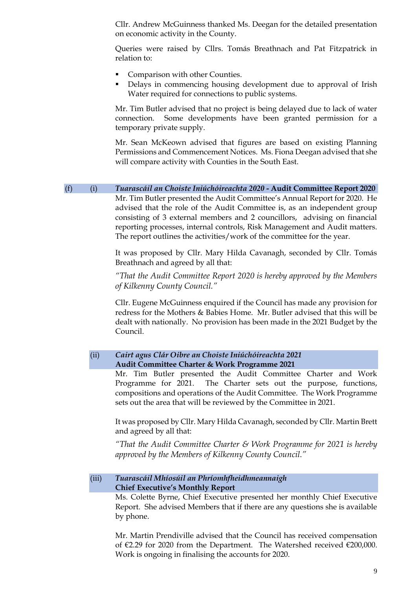Cllr. Andrew McGuinness thanked Ms. Deegan for the detailed presentation on economic activity in the County.

Queries were raised by Cllrs. Tomás Breathnach and Pat Fitzpatrick in relation to:

- Comparison with other Counties.
- Delays in commencing housing development due to approval of Irish Water required for connections to public systems.

Mr. Tim Butler advised that no project is being delayed due to lack of water connection. Some developments have been granted permission for a temporary private supply.

Mr. Sean McKeown advised that figures are based on existing Planning Permissions and Commencement Notices. Ms. Fiona Deegan advised that she will compare activity with Counties in the South East.

(f) (i) *Tuarascáil an Choiste Iniúchóireachta 2020* **- Audit Committee Report 2020** Mr. Tim Butler presented the Audit Committee's Annual Report for 2020. He advised that the role of the Audit Committee is, as an independent group consisting of 3 external members and 2 councillors, advising on financial reporting processes, internal controls, Risk Management and Audit matters. The report outlines the activities/work of the committee for the year.

> It was proposed by Cllr. Mary Hilda Cavanagh, seconded by Cllr. Tomás Breathnach and agreed by all that:

> *"That the Audit Committee Report 2020 is hereby approved by the Members of Kilkenny County Council."*

> Cllr. Eugene McGuinness enquired if the Council has made any provision for redress for the Mothers & Babies Home. Mr. Butler advised that this will be dealt with nationally. No provision has been made in the 2021 Budget by the Council.

#### (ii) *Cairt agus Clár Oibre an Choiste Iniúchóireachta 2021* **Audit Committee Charter & Work Programme 2021**

Mr. Tim Butler presented the Audit Committee Charter and Work Programme for 2021. The Charter sets out the purpose, functions, compositions and operations of the Audit Committee. The Work Programme sets out the area that will be reviewed by the Committee in 2021.

It was proposed by Cllr. Mary Hilda Cavanagh, seconded by Cllr. Martin Brett and agreed by all that:

*"That the Audit Committee Charter & Work Programme for 2021 is hereby approved by the Members of Kilkenny County Council."*

### (iii) *Tuarascáil Mhíosúil an Phríomhfheidhmeannaigh* **Chief Executive's Monthly Report**

Ms. Colette Byrne, Chief Executive presented her monthly Chief Executive Report. She advised Members that if there are any questions she is available by phone.

Mr. Martin Prendiville advised that the Council has received compensation of €2.29 for 2020 from the Department. The Watershed received €200,000. Work is ongoing in finalising the accounts for 2020.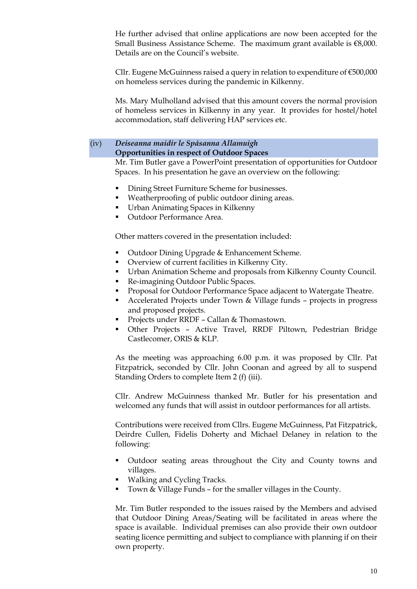He further advised that online applications are now been accepted for the Small Business Assistance Scheme. The maximum grant available is  $€8,000$ . Details are on the Council's website.

Cllr. Eugene McGuinness raised a query in relation to expenditure of €500,000 on homeless services during the pandemic in Kilkenny.

Ms. Mary Mulholland advised that this amount covers the normal provision of homeless services in Kilkenny in any year. It provides for hostel/hotel accommodation, staff delivering HAP services etc.

# (iv) *Deiseanna maidir le Spásanna Allamuigh* **Opportunities in respect of Outdoor Spaces**

Mr. Tim Butler gave a PowerPoint presentation of opportunities for Outdoor Spaces. In his presentation he gave an overview on the following:

- Dining Street Furniture Scheme for businesses.
- Weatherproofing of public outdoor dining areas.
- Urban Animating Spaces in Kilkenny
- Outdoor Performance Area.

Other matters covered in the presentation included:

- Outdoor Dining Upgrade & Enhancement Scheme.
- Overview of current facilities in Kilkenny City.
- Urban Animation Scheme and proposals from Kilkenny County Council.
- Re-imagining Outdoor Public Spaces.
- **Proposal for Outdoor Performance Space adjacent to Watergate Theatre.**
- Accelerated Projects under Town & Village funds projects in progress and proposed projects.
- Projects under RRDF Callan & Thomastown.
- Other Projects Active Travel, RRDF Piltown, Pedestrian Bridge Castlecomer, ORIS & KLP.

As the meeting was approaching 6.00 p.m. it was proposed by Cllr. Pat Fitzpatrick, seconded by Cllr. John Coonan and agreed by all to suspend Standing Orders to complete Item 2 (f) (iii).

Cllr. Andrew McGuinness thanked Mr. Butler for his presentation and welcomed any funds that will assist in outdoor performances for all artists.

Contributions were received from Cllrs. Eugene McGuinness, Pat Fitzpatrick, Deirdre Cullen, Fidelis Doherty and Michael Delaney in relation to the following:

- Outdoor seating areas throughout the City and County towns and villages.
- Walking and Cycling Tracks.
- Town & Village Funds for the smaller villages in the County.

Mr. Tim Butler responded to the issues raised by the Members and advised that Outdoor Dining Areas/Seating will be facilitated in areas where the space is available. Individual premises can also provide their own outdoor seating licence permitting and subject to compliance with planning if on their own property.